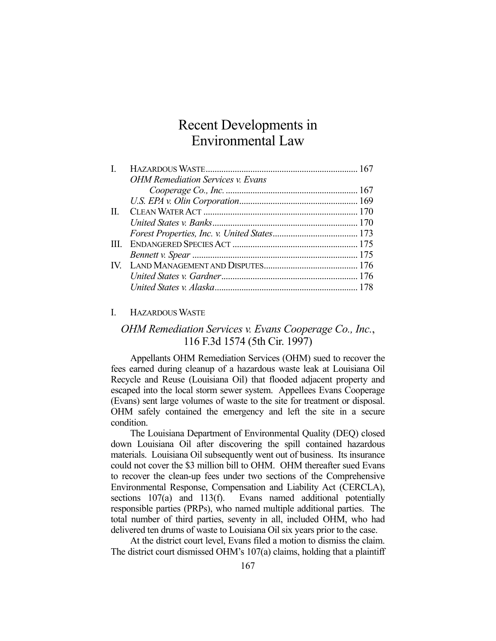# Recent Developments in Environmental Law

| <b>OHM Remediation Services v. Evans</b> |  |
|------------------------------------------|--|
|                                          |  |
|                                          |  |
|                                          |  |
|                                          |  |
|                                          |  |
|                                          |  |
|                                          |  |
|                                          |  |
|                                          |  |
|                                          |  |
|                                          |  |

#### I. HAZARDOUS WASTE

## *OHM Remediation Services v. Evans Cooperage Co., Inc.*, 116 F.3d 1574 (5th Cir. 1997)

 Appellants OHM Remediation Services (OHM) sued to recover the fees earned during cleanup of a hazardous waste leak at Louisiana Oil Recycle and Reuse (Louisiana Oil) that flooded adjacent property and escaped into the local storm sewer system. Appellees Evans Cooperage (Evans) sent large volumes of waste to the site for treatment or disposal. OHM safely contained the emergency and left the site in a secure condition.

 The Louisiana Department of Environmental Quality (DEQ) closed down Louisiana Oil after discovering the spill contained hazardous materials. Louisiana Oil subsequently went out of business. Its insurance could not cover the \$3 million bill to OHM. OHM thereafter sued Evans to recover the clean-up fees under two sections of the Comprehensive Environmental Response, Compensation and Liability Act (CERCLA), sections 107(a) and 113(f). Evans named additional potentially responsible parties (PRPs), who named multiple additional parties. The total number of third parties, seventy in all, included OHM, who had delivered ten drums of waste to Louisiana Oil six years prior to the case.

 At the district court level, Evans filed a motion to dismiss the claim. The district court dismissed OHM's 107(a) claims, holding that a plaintiff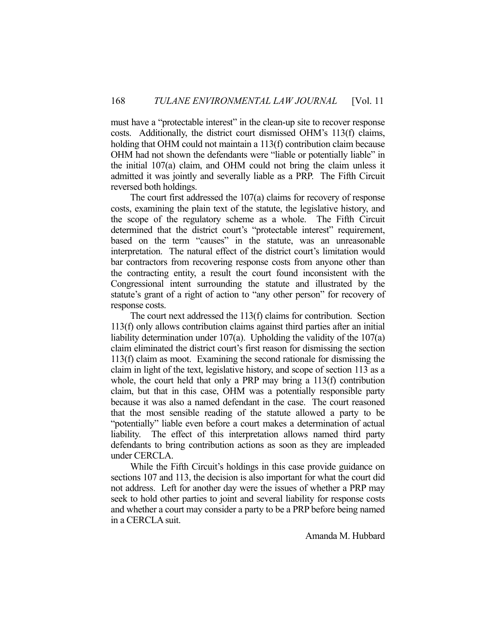must have a "protectable interest" in the clean-up site to recover response costs. Additionally, the district court dismissed OHM's 113(f) claims, holding that OHM could not maintain a 113(f) contribution claim because OHM had not shown the defendants were "liable or potentially liable" in the initial 107(a) claim, and OHM could not bring the claim unless it admitted it was jointly and severally liable as a PRP. The Fifth Circuit reversed both holdings.

 The court first addressed the 107(a) claims for recovery of response costs, examining the plain text of the statute, the legislative history, and the scope of the regulatory scheme as a whole. The Fifth Circuit determined that the district court's "protectable interest" requirement, based on the term "causes" in the statute, was an unreasonable interpretation. The natural effect of the district court's limitation would bar contractors from recovering response costs from anyone other than the contracting entity, a result the court found inconsistent with the Congressional intent surrounding the statute and illustrated by the statute's grant of a right of action to "any other person" for recovery of response costs.

 The court next addressed the 113(f) claims for contribution. Section 113(f) only allows contribution claims against third parties after an initial liability determination under 107(a). Upholding the validity of the 107(a) claim eliminated the district court's first reason for dismissing the section 113(f) claim as moot. Examining the second rationale for dismissing the claim in light of the text, legislative history, and scope of section 113 as a whole, the court held that only a PRP may bring a 113(f) contribution claim, but that in this case, OHM was a potentially responsible party because it was also a named defendant in the case. The court reasoned that the most sensible reading of the statute allowed a party to be "potentially" liable even before a court makes a determination of actual liability. The effect of this interpretation allows named third party defendants to bring contribution actions as soon as they are impleaded under CERCLA.

 While the Fifth Circuit's holdings in this case provide guidance on sections 107 and 113, the decision is also important for what the court did not address. Left for another day were the issues of whether a PRP may seek to hold other parties to joint and several liability for response costs and whether a court may consider a party to be a PRP before being named in a CERCLA suit.

Amanda M. Hubbard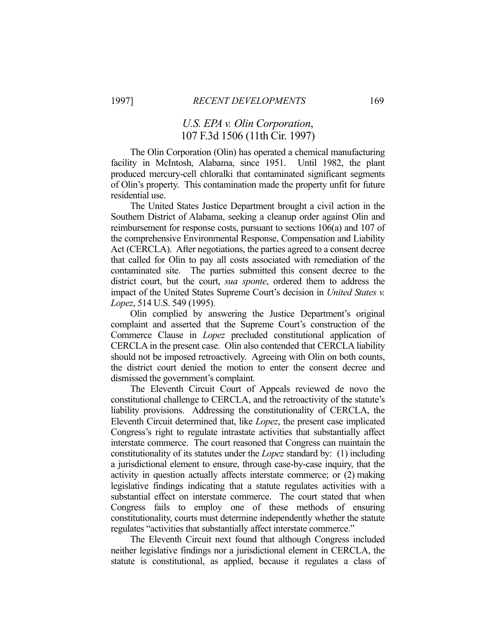### *U.S. EPA v. Olin Corporation*, 107 F.3d 1506 (11th Cir. 1997)

 The Olin Corporation (Olin) has operated a chemical manufacturing facility in McIntosh, Alabama, since 1951. Until 1982, the plant produced mercury-cell chloralki that contaminated significant segments of Olin's property. This contamination made the property unfit for future residential use.

 The United States Justice Department brought a civil action in the Southern District of Alabama, seeking a cleanup order against Olin and reimbursement for response costs, pursuant to sections 106(a) and 107 of the comprehensive Environmental Response, Compensation and Liability Act (CERCLA). After negotiations, the parties agreed to a consent decree that called for Olin to pay all costs associated with remediation of the contaminated site. The parties submitted this consent decree to the district court, but the court, *sua sponte*, ordered them to address the impact of the United States Supreme Court's decision in *United States v. Lopez*, 514 U.S. 549 (1995).

 Olin complied by answering the Justice Department's original complaint and asserted that the Supreme Court's construction of the Commerce Clause in *Lopez* precluded constitutional application of CERCLA in the present case. Olin also contended that CERCLA liability should not be imposed retroactively. Agreeing with Olin on both counts, the district court denied the motion to enter the consent decree and dismissed the government's complaint.

 The Eleventh Circuit Court of Appeals reviewed de novo the constitutional challenge to CERCLA, and the retroactivity of the statute's liability provisions. Addressing the constitutionality of CERCLA, the Eleventh Circuit determined that, like *Lopez*, the present case implicated Congress's right to regulate intrastate activities that substantially affect interstate commerce. The court reasoned that Congress can maintain the constitutionality of its statutes under the *Lopez* standard by: (1) including a jurisdictional element to ensure, through case-by-case inquiry, that the activity in question actually affects interstate commerce; or (2) making legislative findings indicating that a statute regulates activities with a substantial effect on interstate commerce. The court stated that when Congress fails to employ one of these methods of ensuring constitutionality, courts must determine independently whether the statute regulates "activities that substantially affect interstate commerce."

 The Eleventh Circuit next found that although Congress included neither legislative findings nor a jurisdictional element in CERCLA, the statute is constitutional, as applied, because it regulates a class of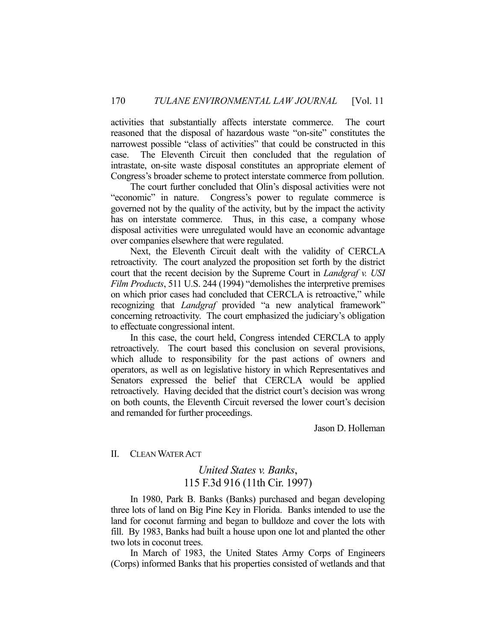activities that substantially affects interstate commerce. The court reasoned that the disposal of hazardous waste "on-site" constitutes the narrowest possible "class of activities" that could be constructed in this case. The Eleventh Circuit then concluded that the regulation of intrastate, on-site waste disposal constitutes an appropriate element of Congress's broader scheme to protect interstate commerce from pollution.

 The court further concluded that Olin's disposal activities were not "economic" in nature. Congress's power to regulate commerce is governed not by the quality of the activity, but by the impact the activity has on interstate commerce. Thus, in this case, a company whose disposal activities were unregulated would have an economic advantage over companies elsewhere that were regulated.

 Next, the Eleventh Circuit dealt with the validity of CERCLA retroactivity. The court analyzed the proposition set forth by the district court that the recent decision by the Supreme Court in *Landgraf v. USI Film Products*, 511 U.S. 244 (1994) "demolishes the interpretive premises on which prior cases had concluded that CERCLA is retroactive," while recognizing that *Landgraf* provided "a new analytical framework" concerning retroactivity. The court emphasized the judiciary's obligation to effectuate congressional intent.

 In this case, the court held, Congress intended CERCLA to apply retroactively. The court based this conclusion on several provisions, which allude to responsibility for the past actions of owners and operators, as well as on legislative history in which Representatives and Senators expressed the belief that CERCLA would be applied retroactively. Having decided that the district court's decision was wrong on both counts, the Eleventh Circuit reversed the lower court's decision and remanded for further proceedings.

Jason D. Holleman

#### II. CLEAN WATER ACT

### *United States v. Banks*, 115 F.3d 916 (11th Cir. 1997)

 In 1980, Park B. Banks (Banks) purchased and began developing three lots of land on Big Pine Key in Florida. Banks intended to use the land for coconut farming and began to bulldoze and cover the lots with fill. By 1983, Banks had built a house upon one lot and planted the other two lots in coconut trees.

 In March of 1983, the United States Army Corps of Engineers (Corps) informed Banks that his properties consisted of wetlands and that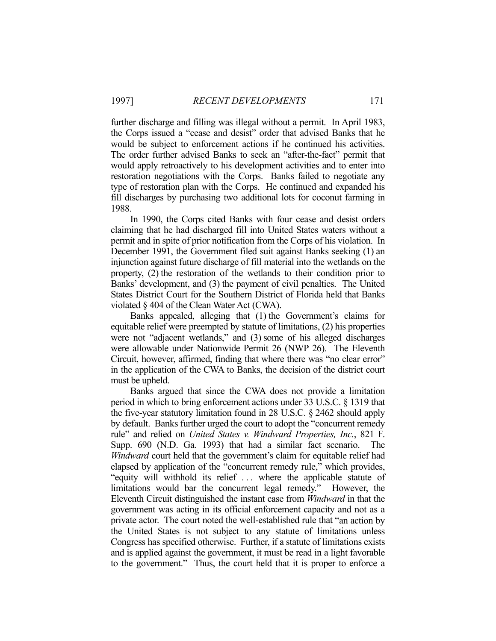further discharge and filling was illegal without a permit. In April 1983, the Corps issued a "cease and desist" order that advised Banks that he would be subject to enforcement actions if he continued his activities. The order further advised Banks to seek an "after-the-fact" permit that would apply retroactively to his development activities and to enter into restoration negotiations with the Corps. Banks failed to negotiate any type of restoration plan with the Corps. He continued and expanded his fill discharges by purchasing two additional lots for coconut farming in 1988.

 In 1990, the Corps cited Banks with four cease and desist orders claiming that he had discharged fill into United States waters without a permit and in spite of prior notification from the Corps of his violation. In December 1991, the Government filed suit against Banks seeking (1) an injunction against future discharge of fill material into the wetlands on the property, (2) the restoration of the wetlands to their condition prior to Banks' development, and (3) the payment of civil penalties. The United States District Court for the Southern District of Florida held that Banks violated § 404 of the Clean Water Act (CWA).

 Banks appealed, alleging that (1) the Government's claims for equitable relief were preempted by statute of limitations, (2) his properties were not "adjacent wetlands," and (3) some of his alleged discharges were allowable under Nationwide Permit 26 (NWP 26). The Eleventh Circuit, however, affirmed, finding that where there was "no clear error" in the application of the CWA to Banks, the decision of the district court must be upheld.

 Banks argued that since the CWA does not provide a limitation period in which to bring enforcement actions under 33 U.S.C. § 1319 that the five-year statutory limitation found in 28 U.S.C. § 2462 should apply by default. Banks further urged the court to adopt the "concurrent remedy rule" and relied on *United States v. Windward Properties, Inc.*, 821 F. Supp. 690 (N.D. Ga. 1993) that had a similar fact scenario. The *Windward* court held that the government's claim for equitable relief had elapsed by application of the "concurrent remedy rule," which provides, "equity will withhold its relief . . . where the applicable statute of limitations would bar the concurrent legal remedy." However, the Eleventh Circuit distinguished the instant case from *Windward* in that the government was acting in its official enforcement capacity and not as a private actor. The court noted the well-established rule that "an action by the United States is not subject to any statute of limitations unless Congress has specified otherwise. Further, if a statute of limitations exists and is applied against the government, it must be read in a light favorable to the government." Thus, the court held that it is proper to enforce a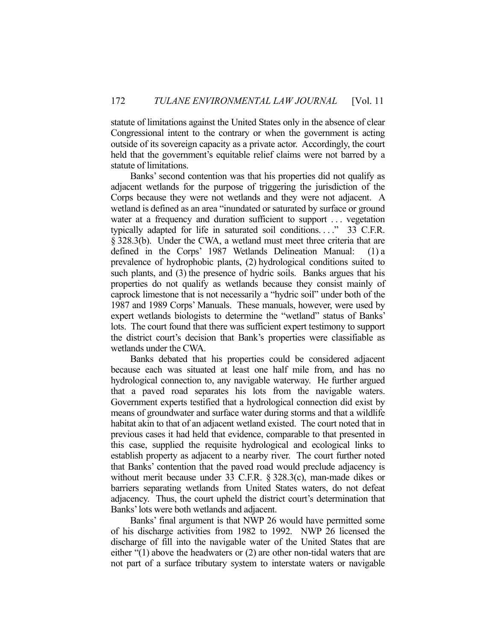statute of limitations against the United States only in the absence of clear Congressional intent to the contrary or when the government is acting outside of its sovereign capacity as a private actor. Accordingly, the court held that the government's equitable relief claims were not barred by a statute of limitations.

 Banks' second contention was that his properties did not qualify as adjacent wetlands for the purpose of triggering the jurisdiction of the Corps because they were not wetlands and they were not adjacent. A wetland is defined as an area "inundated or saturated by surface or ground water at a frequency and duration sufficient to support . . . vegetation typically adapted for life in saturated soil conditions...." 33 C.F.R. § 328.3(b). Under the CWA, a wetland must meet three criteria that are defined in the Corps' 1987 Wetlands Delineation Manual: (1) a prevalence of hydrophobic plants, (2) hydrological conditions suited to such plants, and (3) the presence of hydric soils. Banks argues that his properties do not qualify as wetlands because they consist mainly of caprock limestone that is not necessarily a "hydric soil" under both of the 1987 and 1989 Corps' Manuals. These manuals, however, were used by expert wetlands biologists to determine the "wetland" status of Banks' lots. The court found that there was sufficient expert testimony to support the district court's decision that Bank's properties were classifiable as wetlands under the CWA.

 Banks debated that his properties could be considered adjacent because each was situated at least one half mile from, and has no hydrological connection to, any navigable waterway. He further argued that a paved road separates his lots from the navigable waters. Government experts testified that a hydrological connection did exist by means of groundwater and surface water during storms and that a wildlife habitat akin to that of an adjacent wetland existed. The court noted that in previous cases it had held that evidence, comparable to that presented in this case, supplied the requisite hydrological and ecological links to establish property as adjacent to a nearby river. The court further noted that Banks' contention that the paved road would preclude adjacency is without merit because under 33 C.F.R. § 328.3(c), man-made dikes or barriers separating wetlands from United States waters, do not defeat adjacency. Thus, the court upheld the district court's determination that Banks' lots were both wetlands and adjacent.

 Banks' final argument is that NWP 26 would have permitted some of his discharge activities from 1982 to 1992. NWP 26 licensed the discharge of fill into the navigable water of the United States that are either "(1) above the headwaters or (2) are other non-tidal waters that are not part of a surface tributary system to interstate waters or navigable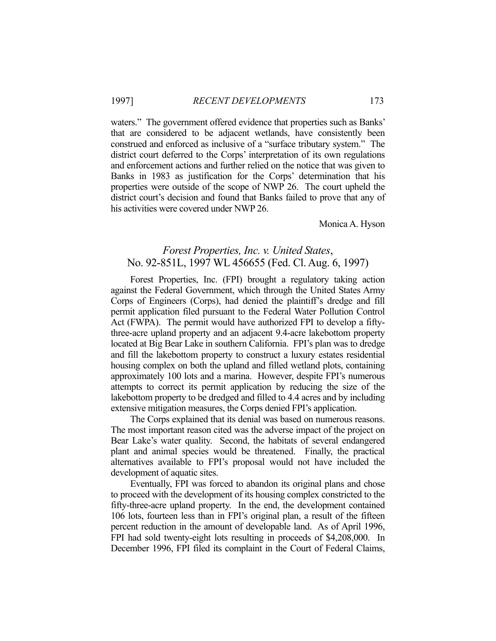waters." The government offered evidence that properties such as Banks' that are considered to be adjacent wetlands, have consistently been construed and enforced as inclusive of a "surface tributary system." The district court deferred to the Corps' interpretation of its own regulations and enforcement actions and further relied on the notice that was given to Banks in 1983 as justification for the Corps' determination that his properties were outside of the scope of NWP 26. The court upheld the district court's decision and found that Banks failed to prove that any of his activities were covered under NWP 26.

Monica A. Hyson

### *Forest Properties, Inc. v. United States*, No. 92-851L, 1997 WL 456655 (Fed. Cl. Aug. 6, 1997)

 Forest Properties, Inc. (FPI) brought a regulatory taking action against the Federal Government, which through the United States Army Corps of Engineers (Corps), had denied the plaintiff's dredge and fill permit application filed pursuant to the Federal Water Pollution Control Act (FWPA). The permit would have authorized FPI to develop a fiftythree-acre upland property and an adjacent 9.4-acre lakebottom property located at Big Bear Lake in southern California. FPI's plan was to dredge and fill the lakebottom property to construct a luxury estates residential housing complex on both the upland and filled wetland plots, containing approximately 100 lots and a marina. However, despite FPI's numerous attempts to correct its permit application by reducing the size of the lakebottom property to be dredged and filled to 4.4 acres and by including extensive mitigation measures, the Corps denied FPI's application.

 The Corps explained that its denial was based on numerous reasons. The most important reason cited was the adverse impact of the project on Bear Lake's water quality. Second, the habitats of several endangered plant and animal species would be threatened. Finally, the practical alternatives available to FPI's proposal would not have included the development of aquatic sites.

 Eventually, FPI was forced to abandon its original plans and chose to proceed with the development of its housing complex constricted to the fifty-three-acre upland property. In the end, the development contained 106 lots, fourteen less than in FPI's original plan, a result of the fifteen percent reduction in the amount of developable land. As of April 1996, FPI had sold twenty-eight lots resulting in proceeds of \$4,208,000. In December 1996, FPI filed its complaint in the Court of Federal Claims,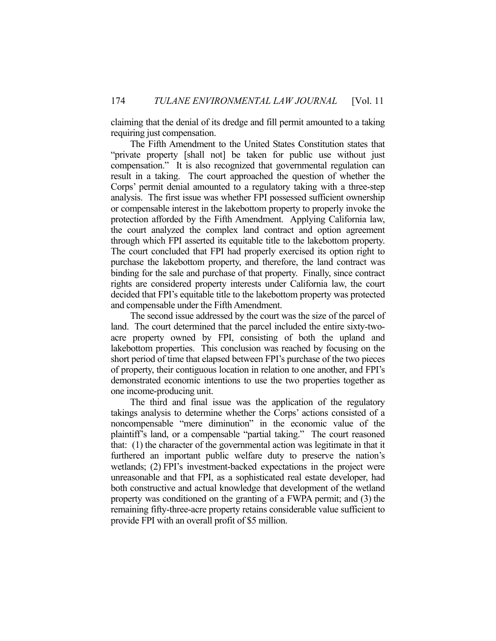claiming that the denial of its dredge and fill permit amounted to a taking requiring just compensation.

 The Fifth Amendment to the United States Constitution states that "private property [shall not] be taken for public use without just compensation." It is also recognized that governmental regulation can result in a taking. The court approached the question of whether the Corps' permit denial amounted to a regulatory taking with a three-step analysis. The first issue was whether FPI possessed sufficient ownership or compensable interest in the lakebottom property to properly invoke the protection afforded by the Fifth Amendment. Applying California law, the court analyzed the complex land contract and option agreement through which FPI asserted its equitable title to the lakebottom property. The court concluded that FPI had properly exercised its option right to purchase the lakebottom property, and therefore, the land contract was binding for the sale and purchase of that property. Finally, since contract rights are considered property interests under California law, the court decided that FPI's equitable title to the lakebottom property was protected and compensable under the Fifth Amendment.

 The second issue addressed by the court was the size of the parcel of land. The court determined that the parcel included the entire sixty-twoacre property owned by FPI, consisting of both the upland and lakebottom properties. This conclusion was reached by focusing on the short period of time that elapsed between FPI's purchase of the two pieces of property, their contiguous location in relation to one another, and FPI's demonstrated economic intentions to use the two properties together as one income-producing unit.

 The third and final issue was the application of the regulatory takings analysis to determine whether the Corps' actions consisted of a noncompensable "mere diminution" in the economic value of the plaintiff's land, or a compensable "partial taking." The court reasoned that: (1) the character of the governmental action was legitimate in that it furthered an important public welfare duty to preserve the nation's wetlands; (2) FPI's investment-backed expectations in the project were unreasonable and that FPI, as a sophisticated real estate developer, had both constructive and actual knowledge that development of the wetland property was conditioned on the granting of a FWPA permit; and (3) the remaining fifty-three-acre property retains considerable value sufficient to provide FPI with an overall profit of \$5 million.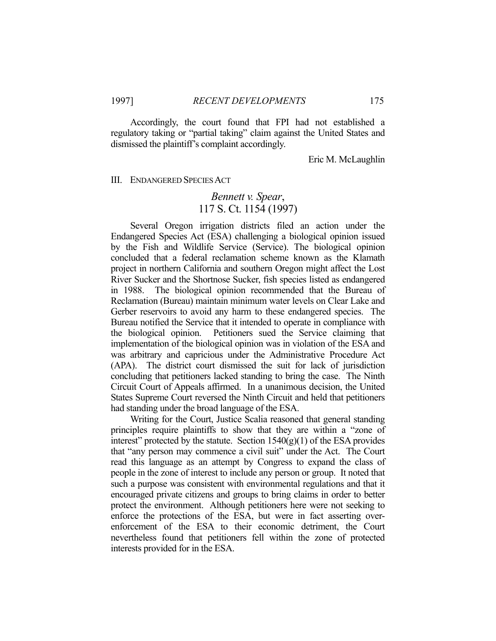Accordingly, the court found that FPI had not established a regulatory taking or "partial taking" claim against the United States and dismissed the plaintiff's complaint accordingly.

Eric M. McLaughlin

#### III. ENDANGERED SPECIES ACT

#### *Bennett v. Spear*, 117 S. Ct. 1154 (1997)

 Several Oregon irrigation districts filed an action under the Endangered Species Act (ESA) challenging a biological opinion issued by the Fish and Wildlife Service (Service). The biological opinion concluded that a federal reclamation scheme known as the Klamath project in northern California and southern Oregon might affect the Lost River Sucker and the Shortnose Sucker, fish species listed as endangered in 1988. The biological opinion recommended that the Bureau of Reclamation (Bureau) maintain minimum water levels on Clear Lake and Gerber reservoirs to avoid any harm to these endangered species. The Bureau notified the Service that it intended to operate in compliance with the biological opinion. Petitioners sued the Service claiming that implementation of the biological opinion was in violation of the ESA and was arbitrary and capricious under the Administrative Procedure Act (APA). The district court dismissed the suit for lack of jurisdiction concluding that petitioners lacked standing to bring the case. The Ninth Circuit Court of Appeals affirmed. In a unanimous decision, the United States Supreme Court reversed the Ninth Circuit and held that petitioners had standing under the broad language of the ESA.

 Writing for the Court, Justice Scalia reasoned that general standing principles require plaintiffs to show that they are within a "zone of interest" protected by the statute. Section  $1540(g)(1)$  of the ESA provides that "any person may commence a civil suit" under the Act. The Court read this language as an attempt by Congress to expand the class of people in the zone of interest to include any person or group. It noted that such a purpose was consistent with environmental regulations and that it encouraged private citizens and groups to bring claims in order to better protect the environment. Although petitioners here were not seeking to enforce the protections of the ESA, but were in fact asserting overenforcement of the ESA to their economic detriment, the Court nevertheless found that petitioners fell within the zone of protected interests provided for in the ESA.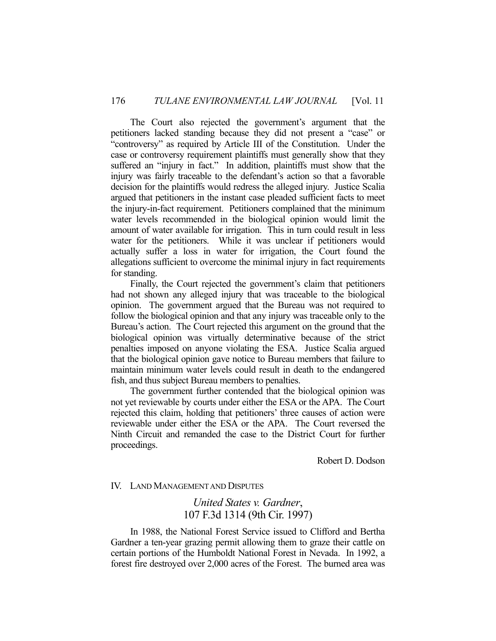The Court also rejected the government's argument that the petitioners lacked standing because they did not present a "case" or "controversy" as required by Article III of the Constitution. Under the case or controversy requirement plaintiffs must generally show that they suffered an "injury in fact." In addition, plaintiffs must show that the injury was fairly traceable to the defendant's action so that a favorable decision for the plaintiffs would redress the alleged injury. Justice Scalia argued that petitioners in the instant case pleaded sufficient facts to meet the injury-in-fact requirement. Petitioners complained that the minimum water levels recommended in the biological opinion would limit the amount of water available for irrigation. This in turn could result in less water for the petitioners. While it was unclear if petitioners would actually suffer a loss in water for irrigation, the Court found the allegations sufficient to overcome the minimal injury in fact requirements for standing.

 Finally, the Court rejected the government's claim that petitioners had not shown any alleged injury that was traceable to the biological opinion. The government argued that the Bureau was not required to follow the biological opinion and that any injury was traceable only to the Bureau's action. The Court rejected this argument on the ground that the biological opinion was virtually determinative because of the strict penalties imposed on anyone violating the ESA. Justice Scalia argued that the biological opinion gave notice to Bureau members that failure to maintain minimum water levels could result in death to the endangered fish, and thus subject Bureau members to penalties.

 The government further contended that the biological opinion was not yet reviewable by courts under either the ESA or the APA. The Court rejected this claim, holding that petitioners' three causes of action were reviewable under either the ESA or the APA. The Court reversed the Ninth Circuit and remanded the case to the District Court for further proceedings.

Robert D. Dodson

#### IV. LAND MANAGEMENT AND DISPUTES

*United States v. Gardner*, 107 F.3d 1314 (9th Cir. 1997)

 In 1988, the National Forest Service issued to Clifford and Bertha Gardner a ten-year grazing permit allowing them to graze their cattle on certain portions of the Humboldt National Forest in Nevada. In 1992, a forest fire destroyed over 2,000 acres of the Forest. The burned area was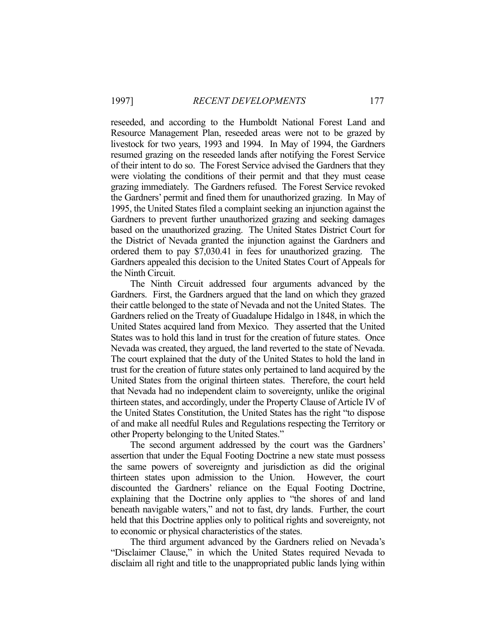reseeded, and according to the Humboldt National Forest Land and Resource Management Plan, reseeded areas were not to be grazed by livestock for two years, 1993 and 1994. In May of 1994, the Gardners resumed grazing on the reseeded lands after notifying the Forest Service of their intent to do so. The Forest Service advised the Gardners that they were violating the conditions of their permit and that they must cease grazing immediately. The Gardners refused. The Forest Service revoked the Gardners' permit and fined them for unauthorized grazing. In May of 1995, the United States filed a complaint seeking an injunction against the Gardners to prevent further unauthorized grazing and seeking damages based on the unauthorized grazing. The United States District Court for the District of Nevada granted the injunction against the Gardners and ordered them to pay \$7,030.41 in fees for unauthorized grazing. The Gardners appealed this decision to the United States Court of Appeals for the Ninth Circuit.

 The Ninth Circuit addressed four arguments advanced by the Gardners. First, the Gardners argued that the land on which they grazed their cattle belonged to the state of Nevada and not the United States. The Gardners relied on the Treaty of Guadalupe Hidalgo in 1848, in which the United States acquired land from Mexico. They asserted that the United States was to hold this land in trust for the creation of future states. Once Nevada was created, they argued, the land reverted to the state of Nevada. The court explained that the duty of the United States to hold the land in trust for the creation of future states only pertained to land acquired by the United States from the original thirteen states. Therefore, the court held that Nevada had no independent claim to sovereignty, unlike the original thirteen states, and accordingly, under the Property Clause of Article IV of the United States Constitution, the United States has the right "to dispose of and make all needful Rules and Regulations respecting the Territory or other Property belonging to the United States."

 The second argument addressed by the court was the Gardners' assertion that under the Equal Footing Doctrine a new state must possess the same powers of sovereignty and jurisdiction as did the original thirteen states upon admission to the Union. However, the court discounted the Gardners' reliance on the Equal Footing Doctrine, explaining that the Doctrine only applies to "the shores of and land beneath navigable waters," and not to fast, dry lands. Further, the court held that this Doctrine applies only to political rights and sovereignty, not to economic or physical characteristics of the states.

 The third argument advanced by the Gardners relied on Nevada's "Disclaimer Clause," in which the United States required Nevada to disclaim all right and title to the unappropriated public lands lying within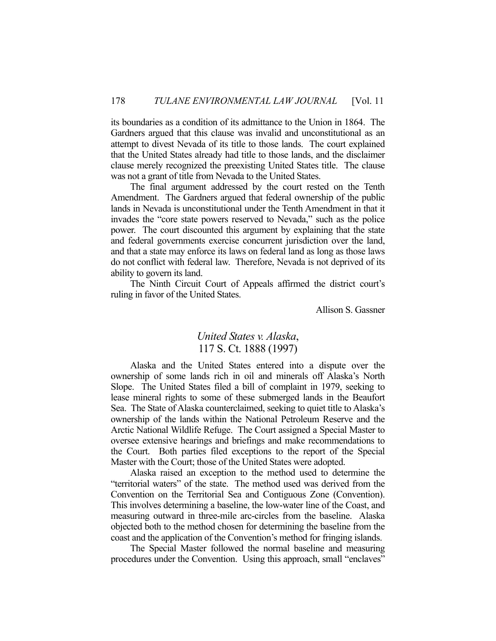its boundaries as a condition of its admittance to the Union in 1864. The Gardners argued that this clause was invalid and unconstitutional as an attempt to divest Nevada of its title to those lands. The court explained that the United States already had title to those lands, and the disclaimer clause merely recognized the preexisting United States title. The clause was not a grant of title from Nevada to the United States.

 The final argument addressed by the court rested on the Tenth Amendment. The Gardners argued that federal ownership of the public lands in Nevada is unconstitutional under the Tenth Amendment in that it invades the "core state powers reserved to Nevada," such as the police power. The court discounted this argument by explaining that the state and federal governments exercise concurrent jurisdiction over the land, and that a state may enforce its laws on federal land as long as those laws do not conflict with federal law. Therefore, Nevada is not deprived of its ability to govern its land.

 The Ninth Circuit Court of Appeals affirmed the district court's ruling in favor of the United States.

Allison S. Gassner

## *United States v. Alaska*, 117 S. Ct. 1888 (1997)

 Alaska and the United States entered into a dispute over the ownership of some lands rich in oil and minerals off Alaska's North Slope. The United States filed a bill of complaint in 1979, seeking to lease mineral rights to some of these submerged lands in the Beaufort Sea. The State of Alaska counterclaimed, seeking to quiet title to Alaska's ownership of the lands within the National Petroleum Reserve and the Arctic National Wildlife Refuge. The Court assigned a Special Master to oversee extensive hearings and briefings and make recommendations to the Court. Both parties filed exceptions to the report of the Special Master with the Court; those of the United States were adopted.

 Alaska raised an exception to the method used to determine the "territorial waters" of the state. The method used was derived from the Convention on the Territorial Sea and Contiguous Zone (Convention). This involves determining a baseline, the low-water line of the Coast, and measuring outward in three-mile arc-circles from the baseline. Alaska objected both to the method chosen for determining the baseline from the coast and the application of the Convention's method for fringing islands.

 The Special Master followed the normal baseline and measuring procedures under the Convention. Using this approach, small "enclaves"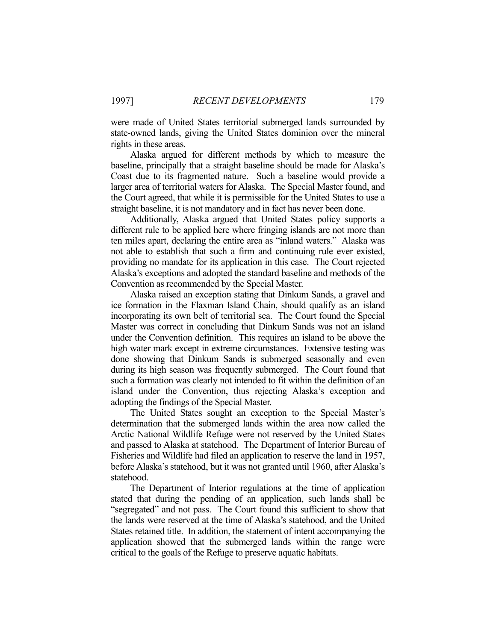were made of United States territorial submerged lands surrounded by state-owned lands, giving the United States dominion over the mineral rights in these areas.

 Alaska argued for different methods by which to measure the baseline, principally that a straight baseline should be made for Alaska's Coast due to its fragmented nature. Such a baseline would provide a larger area of territorial waters for Alaska. The Special Master found, and the Court agreed, that while it is permissible for the United States to use a straight baseline, it is not mandatory and in fact has never been done.

 Additionally, Alaska argued that United States policy supports a different rule to be applied here where fringing islands are not more than ten miles apart, declaring the entire area as "inland waters." Alaska was not able to establish that such a firm and continuing rule ever existed, providing no mandate for its application in this case. The Court rejected Alaska's exceptions and adopted the standard baseline and methods of the Convention as recommended by the Special Master.

 Alaska raised an exception stating that Dinkum Sands, a gravel and ice formation in the Flaxman Island Chain, should qualify as an island incorporating its own belt of territorial sea. The Court found the Special Master was correct in concluding that Dinkum Sands was not an island under the Convention definition. This requires an island to be above the high water mark except in extreme circumstances. Extensive testing was done showing that Dinkum Sands is submerged seasonally and even during its high season was frequently submerged. The Court found that such a formation was clearly not intended to fit within the definition of an island under the Convention, thus rejecting Alaska's exception and adopting the findings of the Special Master.

 The United States sought an exception to the Special Master's determination that the submerged lands within the area now called the Arctic National Wildlife Refuge were not reserved by the United States and passed to Alaska at statehood. The Department of Interior Bureau of Fisheries and Wildlife had filed an application to reserve the land in 1957, before Alaska's statehood, but it was not granted until 1960, after Alaska's statehood.

 The Department of Interior regulations at the time of application stated that during the pending of an application, such lands shall be "segregated" and not pass. The Court found this sufficient to show that the lands were reserved at the time of Alaska's statehood, and the United States retained title. In addition, the statement of intent accompanying the application showed that the submerged lands within the range were critical to the goals of the Refuge to preserve aquatic habitats.